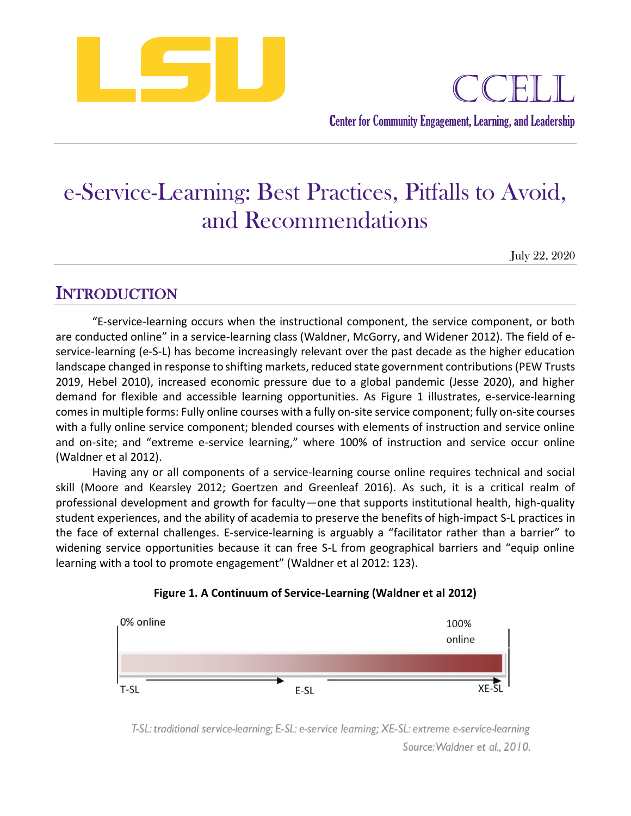

# e-Service-Learning: Best Practices, Pitfalls to Avoid, and Recommendations

July 22, 2020

## **INTRODUCTION**

"E-service-learning occurs when the instructional component, the service component, or both are conducted online" in a service-learning class (Waldner, McGorry, and Widener 2012). The field of eservice-learning (e-S-L) has become increasingly relevant over the past decade as the higher education landscape changed in response to shifting markets, reduced state government contributions (PEW Trusts 2019, Hebel 2010), increased economic pressure due to a global pandemic (Jesse 2020), and higher demand for flexible and accessible learning opportunities. As Figure 1 illustrates, e-service-learning comes in multiple forms: Fully online courses with a fully on-site service component; fully on-site courses with a fully online service component; blended courses with elements of instruction and service online and on-site; and "extreme e-service learning," where 100% of instruction and service occur online (Waldner et al 2012).

Having any or all components of a service-learning course online requires technical and social skill (Moore and Kearsley 2012; Goertzen and Greenleaf 2016). As such, it is a critical realm of professional development and growth for faculty—one that supports institutional health, high-quality student experiences, and the ability of academia to preserve the benefits of high-impact S-L practices in the face of external challenges. E-service-learning is arguably a "facilitator rather than a barrier" to widening service opportunities because it can free S-L from geographical barriers and "equip online learning with a tool to promote engagement" (Waldner et al 2012: 123).





T-SL: traditional service-learning; E-SL: e-service learning; XE-SL: extreme e-service-learning Source: Waldner et al., 2010.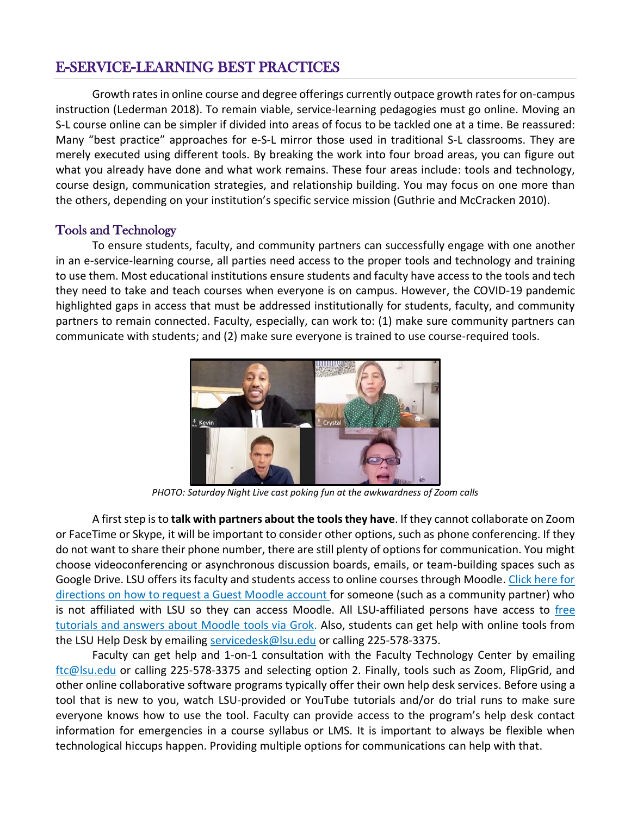### E-SERVICE-LEARNING BEST PRACTICES

Growth rates in online course and degree offerings currently outpace growth rates for on-campus instruction (Lederman 2018). To remain viable, service-learning pedagogies must go online. Moving an S-L course online can be simpler if divided into areas of focus to be tackled one at a time. Be reassured: Many "best practice" approaches for e-S-L mirror those used in traditional S-L classrooms. They are merely executed using different tools. By breaking the work into four broad areas, you can figure out what you already have done and what work remains. These four areas include: tools and technology, course design, communication strategies, and relationship building. You may focus on one more than the others, depending on your institution's specific service mission (Guthrie and McCracken 2010).

#### Tools and Technology

To ensure students, faculty, and community partners can successfully engage with one another in an e-service-learning course, all parties need access to the proper tools and technology and training to use them. Most educational institutions ensure students and faculty have access to the tools and tech they need to take and teach courses when everyone is on campus. However, the COVID-19 pandemic highlighted gaps in access that must be addressed institutionally for students, faculty, and community partners to remain connected. Faculty, especially, can work to: (1) make sure community partners can communicate with students; and (2) make sure everyone is trained to use course-required tools.



*PHOTO: Saturday Night Live cast poking fun at the awkwardness of Zoom calls*

A first step is to **talk with partners about the tools they have**. If they cannot collaborate on Zoom or FaceTime or Skype, it will be important to consider other options, such as phone conferencing. If they do not want to share their phone number, there are still plenty of options for communication. You might choose videoconferencing or asynchronous discussion boards, emails, or team-building spaces such as Google Drive. LSU offers its faculty and students access to online courses through Moodle. [Click here for](https://grok.lsu.edu/article.aspx?articleid=7057)  [directions on how to request a Guest Moodle account](https://grok.lsu.edu/article.aspx?articleid=7057) for someone (such as a community partner) who is not affiliated with LSU so they can access Moodle. All LSU-affiliated persons have access to free [tutorials and answers about Moodle tools via Grok.](https://moodle3.grok.lsu.edu/) Also, students can get help with online tools from the LSU Help Desk by emailing [servicedesk@lsu.edu](mailto:servicedesk@lsu.edu) or calling 225-578-3375.

Faculty can get help and 1-on-1 consultation with the Faculty Technology Center by emailing [ftc@lsu.edu](mailto:ftc@lsu.edu) or calling 225-578-3375 and selecting option 2. Finally, tools such as Zoom, FlipGrid, and other online collaborative software programs typically offer their own help desk services. Before using a tool that is new to you, watch LSU-provided or YouTube tutorials and/or do trial runs to make sure everyone knows how to use the tool. Faculty can provide access to the program's help desk contact information for emergencies in a course syllabus or LMS. It is important to always be flexible when technological hiccups happen. Providing multiple options for communications can help with that.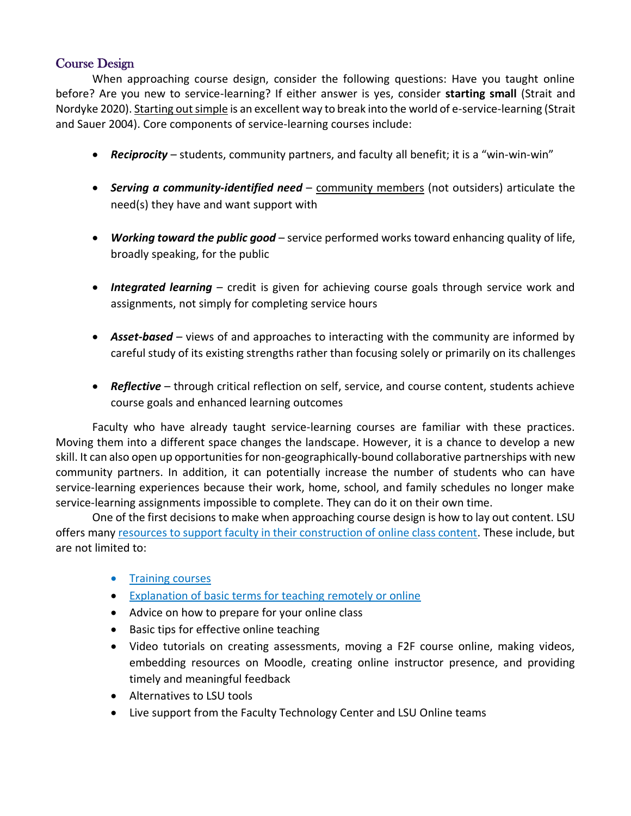#### Course Design

When approaching course design, consider the following questions: Have you taught online before? Are you new to service-learning? If either answer is yes, consider **starting small** (Strait and Nordyke 2020). Starting out simple is an excellent way to break into the world of e-service-learning (Strait and Sauer 2004). Core components of service-learning courses include:

- *Reciprocity* students, community partners, and faculty all benefit; it is a "win-win-win"
- *Serving a community-identified need* community members (not outsiders) articulate the need(s) they have and want support with
- *Working toward the public good* service performed works toward enhancing quality of life, broadly speaking, for the public
- *Integrated learning* credit is given for achieving course goals through service work and assignments, not simply for completing service hours
- *Asset-based* views of and approaches to interacting with the community are informed by careful study of its existing strengths rather than focusing solely or primarily on its challenges
- *Reflective* through critical reflection on self, service, and course content, students achieve course goals and enhanced learning outcomes

Faculty who have already taught service-learning courses are familiar with these practices. Moving them into a different space changes the landscape. However, it is a chance to develop a new skill. It can also open up opportunities for non-geographically-bound collaborative partnerships with new community partners. In addition, it can potentially increase the number of students who can have service-learning experiences because their work, home, school, and family schedules no longer make service-learning assignments impossible to complete. They can do it on their own time.

One of the first decisions to make when approaching course design is how to lay out content. LSU offers many [resources to support faculty in their construction of online class content.](https://online.lsu.edu/faculty-design-resources/) These include, but are not limited to:

- [Training courses](https://online.lsu.edu/faculty-training-and-events/)
- [Explanation of basic terms for teaching remotely or online](https://lsu.app.box.com/s/9te4c8qukg4lritmswjxh5sndxkoghad)
- Advice on how to prepare for your online class
- Basic tips for effective online teaching
- Video tutorials on creating assessments, moving a F2F course online, making videos, embedding resources on Moodle, creating online instructor presence, and providing timely and meaningful feedback
- Alternatives to LSU tools
- Live support from the Faculty Technology Center and LSU Online teams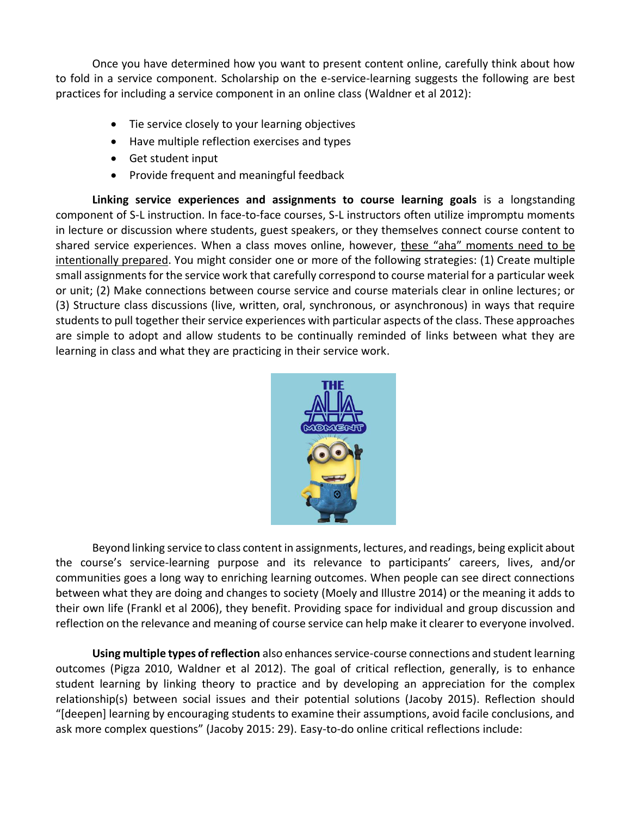Once you have determined how you want to present content online, carefully think about how to fold in a service component. Scholarship on the e-service-learning suggests the following are best practices for including a service component in an online class (Waldner et al 2012):

- Tie service closely to your learning objectives
- Have multiple reflection exercises and types
- Get student input
- Provide frequent and meaningful feedback

**Linking service experiences and assignments to course learning goals** is a longstanding component of S-L instruction. In face-to-face courses, S-L instructors often utilize impromptu moments in lecture or discussion where students, guest speakers, or they themselves connect course content to shared service experiences. When a class moves online, however, these "aha" moments need to be intentionally prepared. You might consider one or more of the following strategies: (1) Create multiple small assignments for the service work that carefully correspond to course material for a particular week or unit; (2) Make connections between course service and course materials clear in online lectures; or (3) Structure class discussions (live, written, oral, synchronous, or asynchronous) in ways that require students to pull together their service experiences with particular aspects of the class. These approaches are simple to adopt and allow students to be continually reminded of links between what they are learning in class and what they are practicing in their service work.



Beyond linking service to class content in assignments, lectures, and readings, being explicit about the course's service-learning purpose and its relevance to participants' careers, lives, and/or communities goes a long way to enriching learning outcomes. When people can see direct connections between what they are doing and changes to society (Moely and Illustre 2014) or the meaning it adds to their own life (Frankl et al 2006), they benefit. Providing space for individual and group discussion and reflection on the relevance and meaning of course service can help make it clearer to everyone involved.

**Using multiple types of reflection** also enhances service-course connections and student learning outcomes (Pigza 2010, Waldner et al 2012). The goal of critical reflection, generally, is to enhance student learning by linking theory to practice and by developing an appreciation for the complex relationship(s) between social issues and their potential solutions (Jacoby 2015). Reflection should "[deepen] learning by encouraging students to examine their assumptions, avoid facile conclusions, and ask more complex questions" (Jacoby 2015: 29). Easy-to-do online critical reflections include: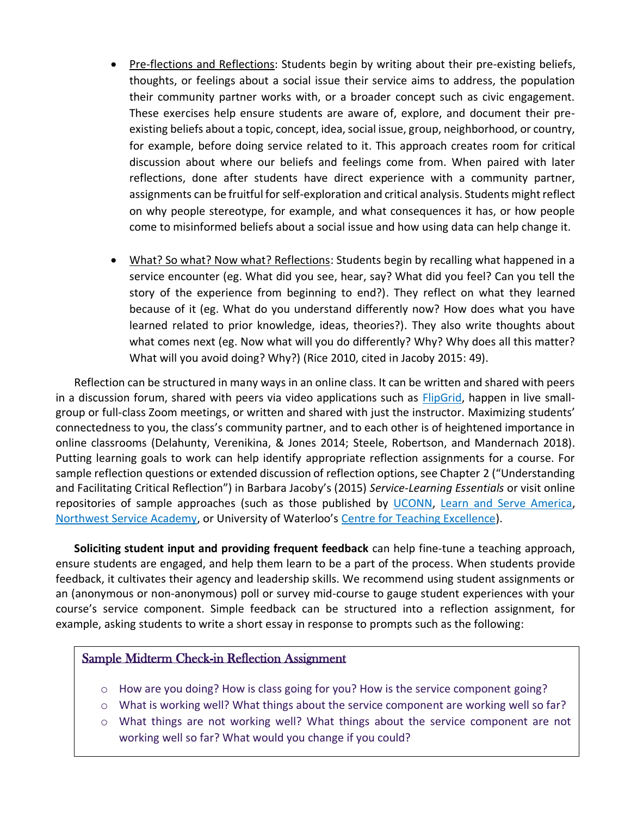- Pre-flections and Reflections: Students begin by writing about their pre-existing beliefs, thoughts, or feelings about a social issue their service aims to address, the population their community partner works with, or a broader concept such as civic engagement. These exercises help ensure students are aware of, explore, and document their preexisting beliefs about a topic, concept, idea, social issue, group, neighborhood, or country, for example, before doing service related to it. This approach creates room for critical discussion about where our beliefs and feelings come from. When paired with later reflections, done after students have direct experience with a community partner, assignments can be fruitful for self-exploration and critical analysis. Students might reflect on why people stereotype, for example, and what consequences it has, or how people come to misinformed beliefs about a social issue and how using data can help change it.
- What? So what? Now what? Reflections: Students begin by recalling what happened in a service encounter (eg. What did you see, hear, say? What did you feel? Can you tell the story of the experience from beginning to end?). They reflect on what they learned because of it (eg. What do you understand differently now? How does what you have learned related to prior knowledge, ideas, theories?). They also write thoughts about what comes next (eg. Now what will you do differently? Why? Why does all this matter? What will you avoid doing? Why?) (Rice 2010, cited in Jacoby 2015: 49).

Reflection can be structured in many ways in an online class. It can be written and shared with peers in a discussion forum, shared with peers via video applications such as [FlipGrid,](http://www.flipgrid.com/) happen in live smallgroup or full-class Zoom meetings, or written and shared with just the instructor. Maximizing students' connectedness to you, the class's community partner, and to each other is of heightened importance in online classrooms (Delahunty, Verenikina, & Jones 2014; Steele, Robertson, and Mandernach 2018). Putting learning goals to work can help identify appropriate reflection assignments for a course. For sample reflection questions or extended discussion of reflection options, see Chapter 2 ("Understanding and Facilitating Critical Reflection") in Barbara Jacoby's (2015) *Service-Learning Essentials* or visit online repositories of sample approaches (such as those published by [UCONN,](https://sl.engagement.uconn.edu/critical-reflection-for-service-learning/) [Learn and Serve America,](https://www.usf.edu/engagement/documents/reflection-in-he-sl-fs-short-sept08.pdf) [Northwest Service Academy,](https://www.usf.edu/engagement/documents/nwtoolkit.pdf) or University of Waterloo's [Centre for Teaching Excellence\)](https://uwaterloo.ca/centre-for-teaching-excellence/teaching-resources/teaching-tips/planning-courses-and-assignments/course-design/critical-reflection).

**Soliciting student input and providing frequent feedback** can help fine-tune a teaching approach, ensure students are engaged, and help them learn to be a part of the process. When students provide feedback, it cultivates their agency and leadership skills. We recommend using student assignments or an (anonymous or non-anonymous) poll or survey mid-course to gauge student experiences with your course's service component. Simple feedback can be structured into a reflection assignment, for example, asking students to write a short essay in response to prompts such as the following:

#### Sample Midterm Check-in Reflection Assignment

- o How are you doing? How is class going for you? How is the service component going?
- o What is working well? What things about the service component are working well so far?
- o What things are not working well? What things about the service component are not working well so far? What would you change if you could?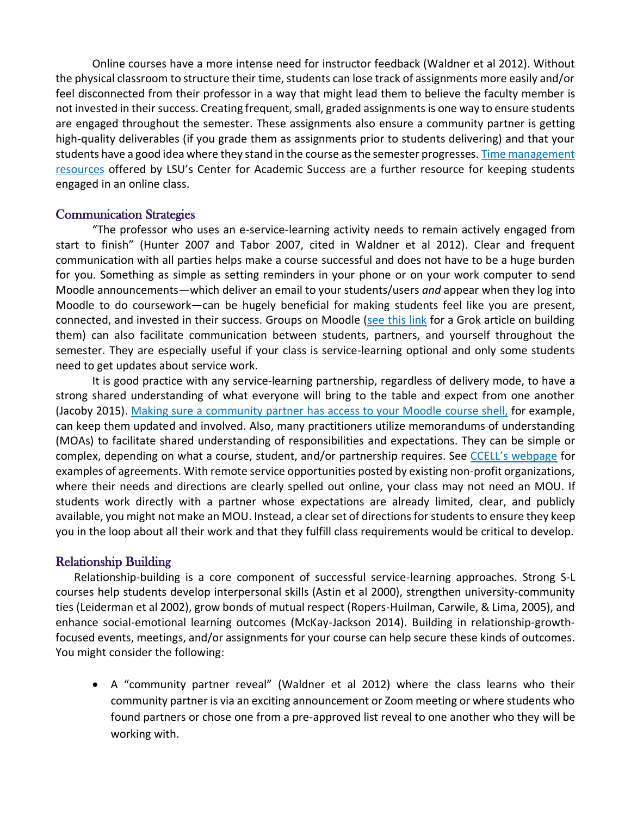Online courses have a more intense need for instructor feedback (Waldner et al 2012). Without the physical classroom to structure their time, students can lose track of assignments more easily and/or feel disconnected from their professor in a way that might lead them to believe the faculty member is not invested in their success. Creating frequent, small, graded assignments is one way to ensure students are engaged throughout the semester. These assignments also ensure a community partner is getting high-quality deliverables (if you grade them as assignments prior to students delivering) and that your students have a good idea where they stand in the course as the semester progresses. [Time management](https://lsu.edu/cas/earnbettergrades/vlc/virtuallearningcenter.php)  [resources](https://lsu.edu/cas/earnbettergrades/vlc/virtuallearningcenter.php) offered by LSU's Center for Academic Success are a further resource for keeping students engaged in an online class.

#### Communication Strategies

"The professor who uses an e-service-learning activity needs to remain actively engaged from start to finish" (Hunter 2007 and Tabor 2007, cited in Waldner et al 2012). Clear and frequent communication with all parties helps make a course successful and does not have to be a huge burden for you. Something as simple as setting reminders in your phone or on your work computer to send Moodle announcements—which deliver an email to your students/users *and* appear when they log into Moodle to do coursework—can be hugely beneficial for making students feel like you are present, connected, and invested in their success. Groups on Moodle [\(see this link](https://grok.lsu.edu/article.aspx?articleid=20241) for a Grok article on building them) can also facilitate communication between students, partners, and yourself throughout the semester. They are especially useful if your class is service-learning optional and only some students need to get updates about service work.

It is good practice with any service-learning partnership, regardless of delivery mode, to have a strong shared understanding of what everyone will bring to the table and expect from one another (Jacoby 2015). Making sure a [community partner has access to your Moodle](https://grok.lsu.edu/article.aspx?articleid=7057) course shell, for example, can keep them updated and involved. Also, many practitioners utilize memorandums of understanding (MOAs) to facilitate shared understanding of responsibilities and expectations. They can be simple or complex, depending on what a course, student, and/or partnership requires. See [CCELL's webpage](https://www.lsu.edu/academicaffairs/ccell/faculty_resources/ccell_policies_and_forms.php) for examples of agreements. With remote service opportunities posted by existing non-profit organizations, where their needs and directions are clearly spelled out online, your class may not need an MOU. If students work directly with a partner whose expectations are already limited, clear, and publicly available, you might not make an MOU. Instead, a clear set of directions for students to ensure they keep you in the loop about all their work and that they fulfill class requirements would be critical to develop.

#### Relationship Building

Relationship-building is a core component of successful service-learning approaches. Strong S-L courses help students develop interpersonal skills (Astin et al 2000), strengthen university-community ties (Leiderman et al 2002), grow bonds of mutual respect (Ropers-Huilman, Carwile, & Lima, 2005), and enhance social-emotional learning outcomes (McKay-Jackson 2014). Building in relationship-growthfocused events, meetings, and/or assignments for your course can help secure these kinds of outcomes. You might consider the following:

• A "community partner reveal" (Waldner et al 2012) where the class learns who their community partner is via an exciting announcement or Zoom meeting or where students who found partners or chose one from a pre-approved list reveal to one another who they will be working with.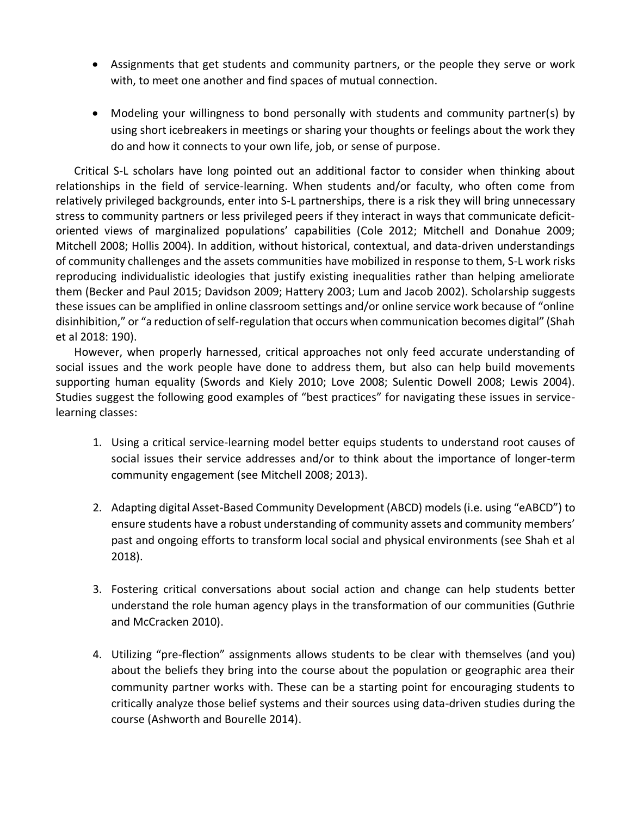- Assignments that get students and community partners, or the people they serve or work with, to meet one another and find spaces of mutual connection.
- Modeling your willingness to bond personally with students and community partner(s) by using short icebreakers in meetings or sharing your thoughts or feelings about the work they do and how it connects to your own life, job, or sense of purpose.

Critical S-L scholars have long pointed out an additional factor to consider when thinking about relationships in the field of service-learning. When students and/or faculty, who often come from relatively privileged backgrounds, enter into S-L partnerships, there is a risk they will bring unnecessary stress to community partners or less privileged peers if they interact in ways that communicate deficitoriented views of marginalized populations' capabilities (Cole 2012; Mitchell and Donahue 2009; Mitchell 2008; Hollis 2004). In addition, without historical, contextual, and data-driven understandings of community challenges and the assets communities have mobilized in response to them, S-L work risks reproducing individualistic ideologies that justify existing inequalities rather than helping ameliorate them (Becker and Paul 2015; Davidson 2009; Hattery 2003; Lum and Jacob 2002). Scholarship suggests these issues can be amplified in online classroom settings and/or online service work because of "online disinhibition," or "a reduction of self-regulation that occurs when communication becomes digital" (Shah et al 2018: 190).

However, when properly harnessed, critical approaches not only feed accurate understanding of social issues and the work people have done to address them, but also can help build movements supporting human equality (Swords and Kiely 2010; Love 2008; Sulentic Dowell 2008; Lewis 2004). Studies suggest the following good examples of "best practices" for navigating these issues in servicelearning classes:

- 1. Using a critical service-learning model better equips students to understand root causes of social issues their service addresses and/or to think about the importance of longer-term community engagement (see Mitchell 2008; 2013).
- 2. Adapting digital Asset-Based Community Development (ABCD) models (i.e. using "eABCD") to ensure students have a robust understanding of community assets and community members' past and ongoing efforts to transform local social and physical environments (see Shah et al 2018).
- 3. Fostering critical conversations about social action and change can help students better understand the role human agency plays in the transformation of our communities (Guthrie and McCracken 2010).
- 4. Utilizing "pre-flection" assignments allows students to be clear with themselves (and you) about the beliefs they bring into the course about the population or geographic area their community partner works with. These can be a starting point for encouraging students to critically analyze those belief systems and their sources using data-driven studies during the course (Ashworth and Bourelle 2014).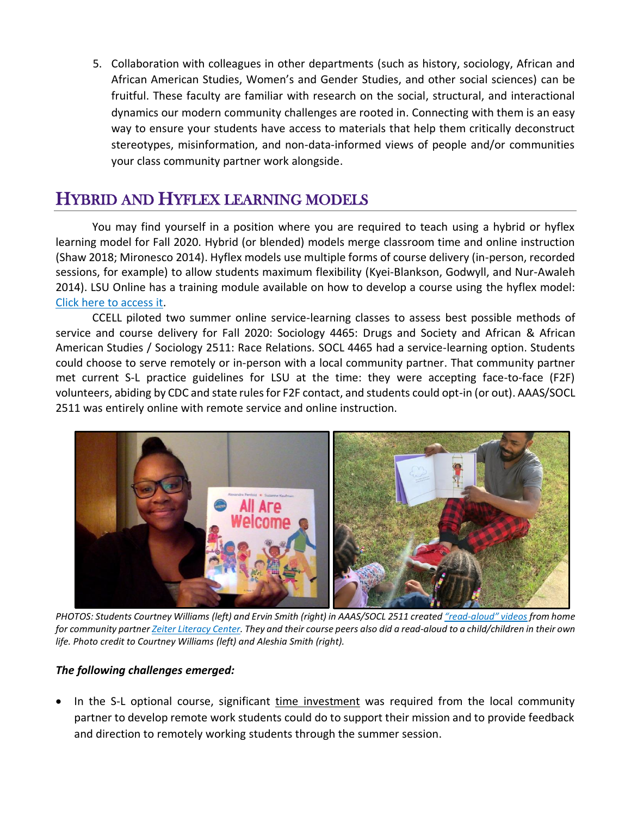5. Collaboration with colleagues in other departments (such as history, sociology, African and African American Studies, Women's and Gender Studies, and other social sciences) can be fruitful. These faculty are familiar with research on the social, structural, and interactional dynamics our modern community challenges are rooted in. Connecting with them is an easy way to ensure your students have access to materials that help them critically deconstruct stereotypes, misinformation, and non-data-informed views of people and/or communities your class community partner work alongside.

# HYBRID AND HYFLEX LEARNING MODELS

You may find yourself in a position where you are required to teach using a hybrid or hyflex learning model for Fall 2020. Hybrid (or blended) models merge classroom time and online instruction (Shaw 2018; Mironesco 2014). Hyflex models use multiple forms of course delivery (in-person, recorded sessions, for example) to allow students maximum flexibility (Kyei-Blankson, Godwyll, and Nur-Awaleh 2014). LSU Online has a training module available on how to develop a course using the hyflex model: [Click here to access it.](https://zoom.us/rec/share/xtMoLL7i_X9OYJ3B4WvaaqkDJKnnT6a80CAWqPYMmhspLySSmhvSjXsPOJkPmrom)

CCELL piloted two summer online service-learning classes to assess best possible methods of service and course delivery for Fall 2020: Sociology 4465: Drugs and Society and African & African American Studies / Sociology 2511: Race Relations. SOCL 4465 had a service-learning option. Students could choose to serve remotely or in-person with a local community partner. That community partner met current S-L practice guidelines for LSU at the time: they were accepting face-to-face (F2F) volunteers, abiding by CDC and state rules for F2F contact, and students could opt-in (or out). AAAS/SOCL 2511 was entirely online with remote service and online instruction.



*PHOTOS: Students Courtney Williams (left) and Ervin Smith (right) in AAAS/SOCL 2511 created "read-[aloud" videos](https://www.youtube.com/channel/UCtWAv4a1ZkajlKbCdXaauxQ) from home for community partne[r Zeiter Literacy Center.](http://zeiter.sites.unlv.edu/) They and their course peers also did a read-aloud to a child/children in their own life. Photo credit to Courtney Williams (left) and Aleshia Smith (right).*

#### *The following challenges emerged:*

In the S-L optional course, significant time investment was required from the local community partner to develop remote work students could do to support their mission and to provide feedback and direction to remotely working students through the summer session.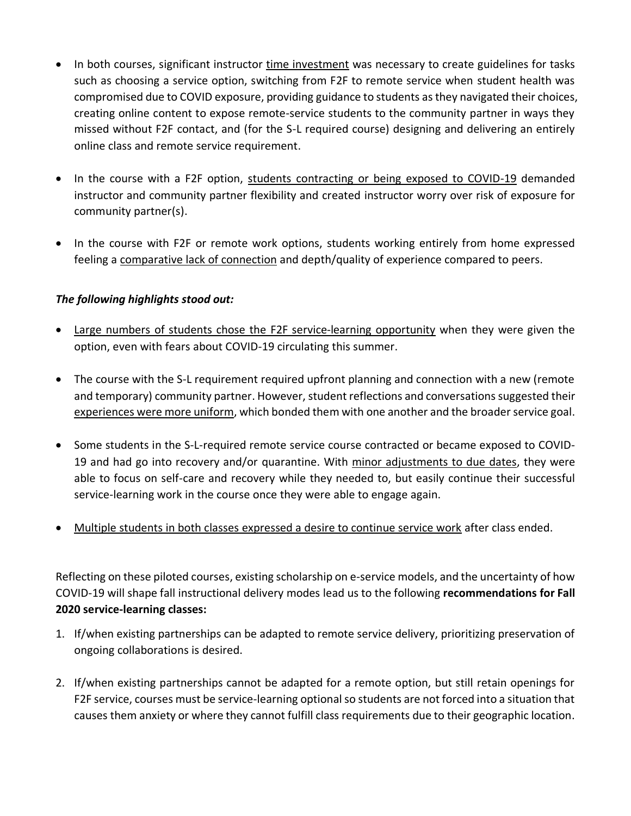- In both courses, significant instructor time investment was necessary to create guidelines for tasks such as choosing a service option, switching from F2F to remote service when student health was compromised due to COVID exposure, providing guidance to students as they navigated their choices, creating online content to expose remote-service students to the community partner in ways they missed without F2F contact, and (for the S-L required course) designing and delivering an entirely online class and remote service requirement.
- In the course with a F2F option, students contracting or being exposed to COVID-19 demanded instructor and community partner flexibility and created instructor worry over risk of exposure for community partner(s).
- In the course with F2F or remote work options, students working entirely from home expressed feeling a comparative lack of connection and depth/quality of experience compared to peers.

#### *The following highlights stood out:*

- Large numbers of students chose the F2F service-learning opportunity when they were given the option, even with fears about COVID-19 circulating this summer.
- The course with the S-L requirement required upfront planning and connection with a new (remote and temporary) community partner. However, student reflections and conversations suggested their experiences were more uniform, which bonded them with one another and the broader service goal.
- Some students in the S-L-required remote service course contracted or became exposed to COVID-19 and had go into recovery and/or quarantine. With minor adjustments to due dates, they were able to focus on self-care and recovery while they needed to, but easily continue their successful service-learning work in the course once they were able to engage again.
- Multiple students in both classes expressed a desire to continue service work after class ended.

Reflecting on these piloted courses, existing scholarship on e-service models, and the uncertainty of how COVID-19 will shape fall instructional delivery modes lead us to the following **recommendations for Fall 2020 service-learning classes:**

- 1. If/when existing partnerships can be adapted to remote service delivery, prioritizing preservation of ongoing collaborations is desired.
- 2. If/when existing partnerships cannot be adapted for a remote option, but still retain openings for F2F service, courses must be service-learning optional so students are not forced into a situation that causes them anxiety or where they cannot fulfill class requirements due to their geographic location.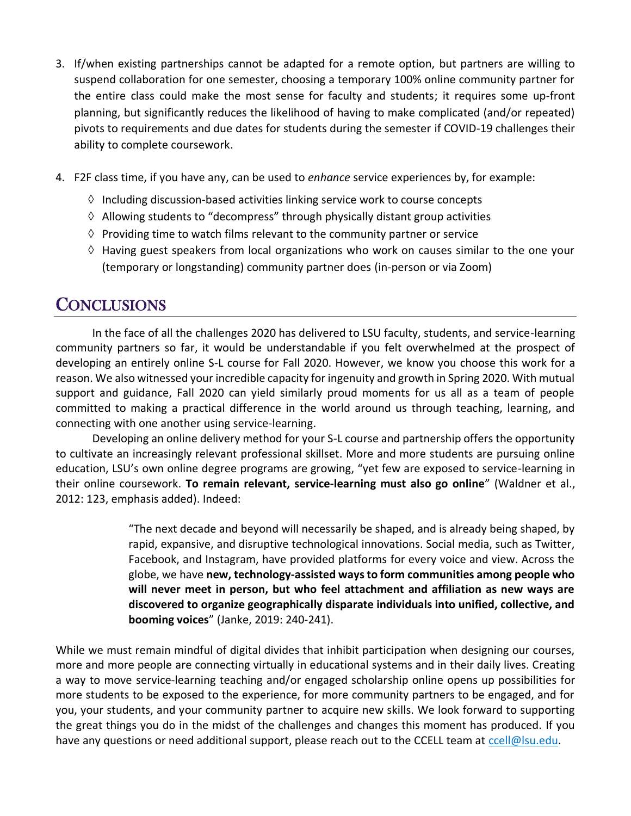- 3. If/when existing partnerships cannot be adapted for a remote option, but partners are willing to suspend collaboration for one semester, choosing a temporary 100% online community partner for the entire class could make the most sense for faculty and students; it requires some up-front planning, but significantly reduces the likelihood of having to make complicated (and/or repeated) pivots to requirements and due dates for students during the semester if COVID-19 challenges their ability to complete coursework.
- 4. F2F class time, if you have any, can be used to *enhance* service experiences by, for example:
	- $\Diamond$  Including discussion-based activities linking service work to course concepts
	- $\Diamond$  Allowing students to "decompress" through physically distant group activities
	- $\Diamond$  Providing time to watch films relevant to the community partner or service
	- $\Diamond$  Having guest speakers from local organizations who work on causes similar to the one your (temporary or longstanding) community partner does (in-person or via Zoom)

## **CONCLUSIONS**

In the face of all the challenges 2020 has delivered to LSU faculty, students, and service-learning community partners so far, it would be understandable if you felt overwhelmed at the prospect of developing an entirely online S-L course for Fall 2020. However, we know you choose this work for a reason. We also witnessed your incredible capacity for ingenuity and growth in Spring 2020. With mutual support and guidance, Fall 2020 can yield similarly proud moments for us all as a team of people committed to making a practical difference in the world around us through teaching, learning, and connecting with one another using service-learning.

Developing an online delivery method for your S-L course and partnership offers the opportunity to cultivate an increasingly relevant professional skillset. More and more students are pursuing online education, LSU's own online degree programs are growing, "yet few are exposed to service-learning in their online coursework. **To remain relevant, service-learning must also go online**" (Waldner et al., 2012: 123, emphasis added). Indeed:

> "The next decade and beyond will necessarily be shaped, and is already being shaped, by rapid, expansive, and disruptive technological innovations. Social media, such as Twitter, Facebook, and Instagram, have provided platforms for every voice and view. Across the globe, we have **new, technology-assisted ways to form communities among people who will never meet in person, but who feel attachment and affiliation as new ways are discovered to organize geographically disparate individuals into unified, collective, and booming voices**" (Janke, 2019: 240-241).

While we must remain mindful of digital divides that inhibit participation when designing our courses, more and more people are connecting virtually in educational systems and in their daily lives. Creating a way to move service-learning teaching and/or engaged scholarship online opens up possibilities for more students to be exposed to the experience, for more community partners to be engaged, and for you, your students, and your community partner to acquire new skills. We look forward to supporting the great things you do in the midst of the challenges and changes this moment has produced. If you have any questions or need additional support, please reach out to the CCELL team at [ccell@lsu.edu.](mailto:ccell@lsu.edu)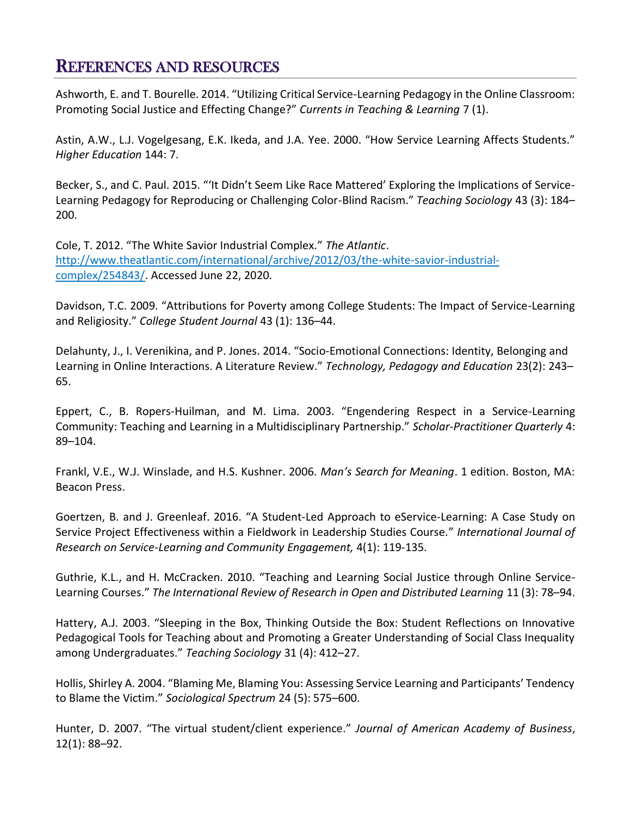## REFERENCES AND RESOURCES

Ashworth, E. and T. Bourelle. 2014. "Utilizing Critical Service-Learning Pedagogy in the Online Classroom: Promoting Social Justice and Effecting Change?" *Currents in Teaching & Learning* 7 (1).

Astin, A.W., L.J. Vogelgesang, E.K. Ikeda, and J.A. Yee. 2000. "How Service Learning Affects Students." *Higher Education* 144: 7.

Becker, S., and C. Paul. 2015. "'It Didn't Seem Like Race Mattered' Exploring the Implications of Service-Learning Pedagogy for Reproducing or Challenging Color-Blind Racism." *Teaching Sociology* 43 (3): 184– 200.

Cole, T. 2012. "The White Savior Industrial Complex." *The Atlantic*. [http://www.theatlantic.com/international/archive/2012/03/the-white-savior-industrial](http://www.theatlantic.com/international/archive/2012/03/the-white-savior-industrial-complex/254843/)[complex/254843/.](http://www.theatlantic.com/international/archive/2012/03/the-white-savior-industrial-complex/254843/) Accessed June 22, 2020.

Davidson, T.C. 2009. "Attributions for Poverty among College Students: The Impact of Service-Learning and Religiosity." *College Student Journal* 43 (1): 136–44.

Delahunty, J., I. Verenikina, and P. Jones. 2014. "Socio-Emotional Connections: Identity, Belonging and Learning in Online Interactions. A Literature Review." *Technology, Pedagogy and Education* 23(2): 243– 65.

Eppert, C., B. Ropers-Huilman, and M. Lima. 2003. "Engendering Respect in a Service-Learning Community: Teaching and Learning in a Multidisciplinary Partnership." *Scholar-Practitioner Quarterly* 4: 89–104.

Frankl, V.E., W.J. Winslade, and H.S. Kushner. 2006. *Man's Search for Meaning*. 1 edition. Boston, MA: Beacon Press.

Goertzen, B. and J. Greenleaf. 2016. "A Student-Led Approach to eService-Learning: A Case Study on Service Project Effectiveness within a Fieldwork in Leadership Studies Course." *International Journal of Research on Service-Learning and Community Engagement,* 4(1): 119-135.

Guthrie, K.L., and H. McCracken. 2010. "Teaching and Learning Social Justice through Online Service-Learning Courses." *The International Review of Research in Open and Distributed Learning* 11 (3): 78–94.

Hattery, A.J. 2003. "Sleeping in the Box, Thinking Outside the Box: Student Reflections on Innovative Pedagogical Tools for Teaching about and Promoting a Greater Understanding of Social Class Inequality among Undergraduates." *Teaching Sociology* 31 (4): 412–27.

Hollis, Shirley A. 2004. "Blaming Me, Blaming You: Assessing Service Learning and Participants' Tendency to Blame the Victim." *Sociological Spectrum* 24 (5): 575–600.

Hunter, D. 2007. "The virtual student/client experience." *Journal of American Academy of Business*, 12(1): 88–92.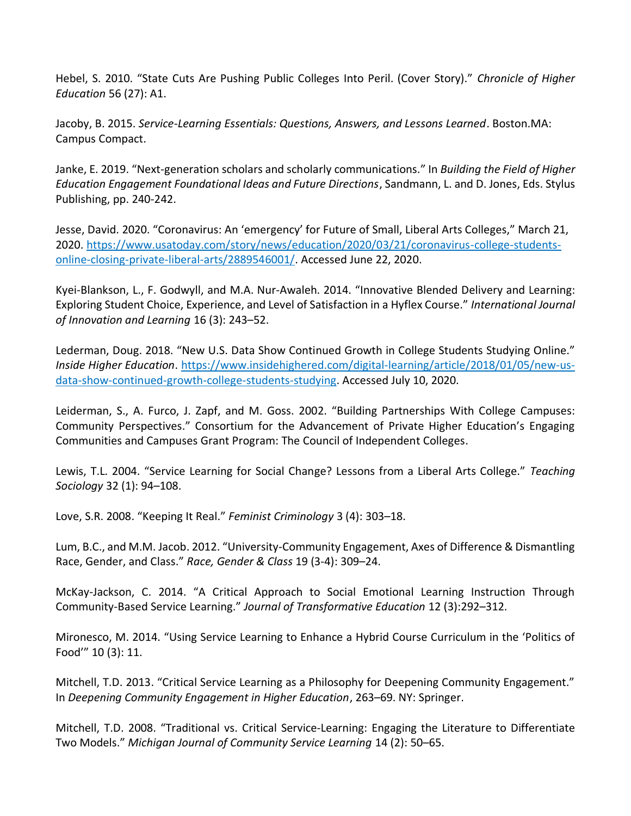Hebel, S. 2010. "State Cuts Are Pushing Public Colleges Into Peril. (Cover Story)." *Chronicle of Higher Education* 56 (27): A1.

Jacoby, B. 2015. *Service-Learning Essentials: Questions, Answers, and Lessons Learned*. Boston.MA: Campus Compact.

Janke, E. 2019. "Next-generation scholars and scholarly communications." In *Building the Field of Higher Education Engagement Foundational Ideas and Future Directions*, Sandmann, L. and D. Jones, Eds. Stylus Publishing, pp. 240-242.

Jesse, David. 2020. "Coronavirus: An 'emergency' for Future of Small, Liberal Arts Colleges," March 21, 2020. [https://www.usatoday.com/story/news/education/2020/03/21/coronavirus-college-students](https://www.usatoday.com/story/news/education/2020/03/21/coronavirus-college-students-online-closing-private-liberal-arts/2889546001/)[online-closing-private-liberal-arts/2889546001/.](https://www.usatoday.com/story/news/education/2020/03/21/coronavirus-college-students-online-closing-private-liberal-arts/2889546001/) Accessed June 22, 2020.

Kyei-Blankson, L., F. Godwyll, and M.A. Nur-Awaleh. 2014. "Innovative Blended Delivery and Learning: Exploring Student Choice, Experience, and Level of Satisfaction in a Hyflex Course." *International Journal of Innovation and Learning* 16 (3): 243–52.

Lederman, Doug. 2018. "New U.S. Data Show Continued Growth in College Students Studying Online." *Inside Higher Education*. [https://www.insidehighered.com/digital-learning/article/2018/01/05/new-us](https://www.insidehighered.com/digital-learning/article/2018/01/05/new-us-data-show-continued-growth-college-students-studying)[data-show-continued-growth-college-students-studying.](https://www.insidehighered.com/digital-learning/article/2018/01/05/new-us-data-show-continued-growth-college-students-studying) Accessed July 10, 2020.

Leiderman, S., A. Furco, J. Zapf, and M. Goss. 2002. "Building Partnerships With College Campuses: Community Perspectives." Consortium for the Advancement of Private Higher Education's Engaging Communities and Campuses Grant Program: The Council of Independent Colleges.

Lewis, T.L. 2004. "Service Learning for Social Change? Lessons from a Liberal Arts College." *Teaching Sociology* 32 (1): 94–108.

Love, S.R. 2008. "Keeping It Real." *Feminist Criminology* 3 (4): 303–18.

Lum, B.C., and M.M. Jacob. 2012. "University-Community Engagement, Axes of Difference & Dismantling Race, Gender, and Class." *Race, Gender & Class* 19 (3-4): 309–24.

McKay-Jackson, C. 2014. "A Critical Approach to Social Emotional Learning Instruction Through Community-Based Service Learning." *Journal of Transformative Education* 12 (3):292–312.

Mironesco, M. 2014. "Using Service Learning to Enhance a Hybrid Course Curriculum in the 'Politics of Food'" 10 (3): 11.

Mitchell, T.D. 2013. "Critical Service Learning as a Philosophy for Deepening Community Engagement." In *Deepening Community Engagement in Higher Education*, 263–69. NY: Springer.

Mitchell, T.D. 2008. "Traditional vs. Critical Service-Learning: Engaging the Literature to Differentiate Two Models." *Michigan Journal of Community Service Learning* 14 (2): 50–65.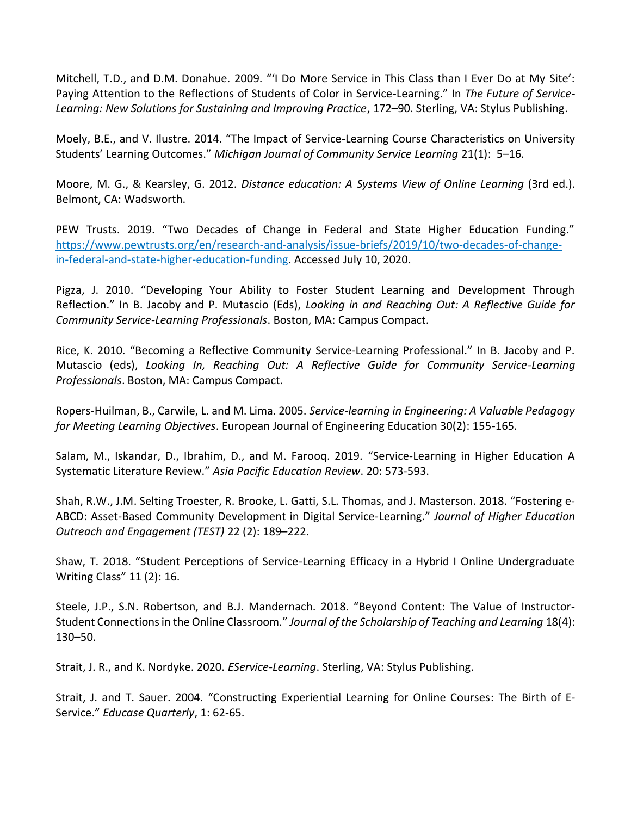Mitchell, T.D., and D.M. Donahue. 2009. "'I Do More Service in This Class than I Ever Do at My Site': Paying Attention to the Reflections of Students of Color in Service-Learning." In *The Future of Service-Learning: New Solutions for Sustaining and Improving Practice*, 172–90. Sterling, VA: Stylus Publishing.

Moely, B.E., and V. Ilustre. 2014. "The Impact of Service-Learning Course Characteristics on University Students' Learning Outcomes." *Michigan Journal of Community Service Learning* 21(1): 5–16.

Moore, M. G., & Kearsley, G. 2012. *Distance education: A Systems View of Online Learning* (3rd ed.). Belmont, CA: Wadsworth.

PEW Trusts. 2019. "Two Decades of Change in Federal and State Higher Education Funding." [https://www.pewtrusts.org/en/research-and-analysis/issue-briefs/2019/10/two-decades-of-change](https://www.pewtrusts.org/en/research-and-analysis/issue-briefs/2019/10/two-decades-of-change-in-federal-and-state-higher-education-funding)[in-federal-and-state-higher-education-funding.](https://www.pewtrusts.org/en/research-and-analysis/issue-briefs/2019/10/two-decades-of-change-in-federal-and-state-higher-education-funding) Accessed July 10, 2020.

Pigza, J. 2010. "Developing Your Ability to Foster Student Learning and Development Through Reflection." In B. Jacoby and P. Mutascio (Eds), *Looking in and Reaching Out: A Reflective Guide for Community Service-Learning Professionals*. Boston, MA: Campus Compact.

Rice, K. 2010. "Becoming a Reflective Community Service-Learning Professional." In B. Jacoby and P. Mutascio (eds), *Looking In, Reaching Out: A Reflective Guide for Community Service-Learning Professionals*. Boston, MA: Campus Compact.

Ropers-Huilman, B., Carwile, L. and M. Lima. 2005. *Service-learning in Engineering: A Valuable Pedagogy for Meeting Learning Objectives*. European Journal of Engineering Education 30(2): 155-165.

Salam, M., Iskandar, D., Ibrahim, D., and M. Farooq. 2019. "Service-Learning in Higher Education A Systematic Literature Review." *Asia Pacific Education Review*. 20: 573-593.

Shah, R.W., J.M. Selting Troester, R. Brooke, L. Gatti, S.L. Thomas, and J. Masterson. 2018. "Fostering e-ABCD: Asset-Based Community Development in Digital Service-Learning." *Journal of Higher Education Outreach and Engagement (TEST)* 22 (2): 189–222.

Shaw, T. 2018. "Student Perceptions of Service-Learning Efficacy in a Hybrid I Online Undergraduate Writing Class" 11 (2): 16.

Steele, J.P., S.N. Robertson, and B.J. Mandernach. 2018. "Beyond Content: The Value of Instructor-Student Connections in the Online Classroom." *Journal of the Scholarship of Teaching and Learning* 18(4): 130–50.

Strait, J. R., and K. Nordyke. 2020. *EService-Learning*. Sterling, VA: Stylus Publishing.

Strait, J. and T. Sauer. 2004. "Constructing Experiential Learning for Online Courses: The Birth of E-Service." *Educase Quarterly*, 1: 62-65.